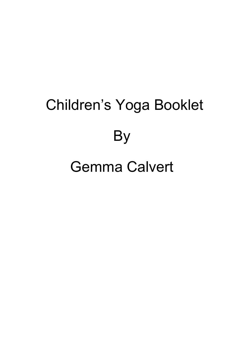# Children's Yoga Booklet **By**

## Gemma Calvert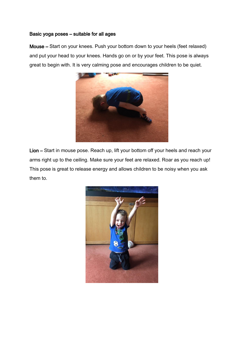### Basic yoga poses – suitable for all ages

Mouse – Start on your knees. Push your bottom down to your heels (feet relaxed) and put your head to your knees. Hands go on or by your feet. This pose is always great to begin with. It is very calming pose and encourages children to be quiet.



Lion – Start in mouse pose. Reach up, lift your bottom off your heels and reach your arms right up to the ceiling. Make sure your feet are relaxed. Roar as you reach up! This pose is great to release energy and allows children to be noisy when you ask them to.

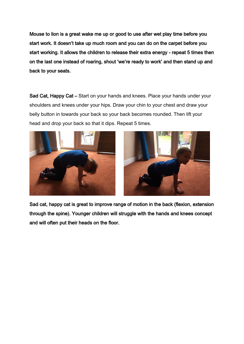Mouse to lion is a great wake me up or good to use after wet play time before you start work. It doesn't take up much room and you can do on the carpet before you start working. It allows the children to release their extra energy - repeat 5 times then on the last one instead of roaring, shout 'we're ready to work' and then stand up and back to your seats.

Sad Cat, Happy Cat – Start on your hands and knees. Place your hands under your shoulders and knees under your hips. Draw your chin to your chest and draw your belly button in towards your back so your back becomes rounded. Then lift your head and drop your back so that it dips. Repeat 5 times.





Sad cat, happy cat is great to improve range of motion in the back (flexion, extension through the spine). Younger children will struggle with the hands and knees concept and will often put their heads on the floor.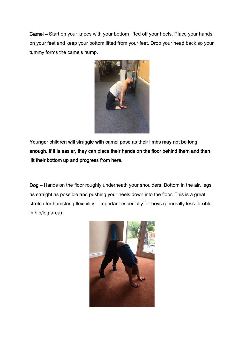Camel – Start on your knees with your bottom lifted off your heels. Place your hands on your feet and keep your bottom lifted from your feet. Drop your head back so your tummy forms the camels hump.



Younger children will struggle with camel pose as their limbs may not be long enough. If it is easier, they can place their hands on the floor behind them and then lift their bottom up and progress from here.

Dog – Hands on the floor roughly underneath your shoulders. Bottom in the air, legs as straight as possible and pushing your heels down into the floor. This is a great stretch for hamstring flexibility – important especially for boys (generally less flexible in hip/leg area).

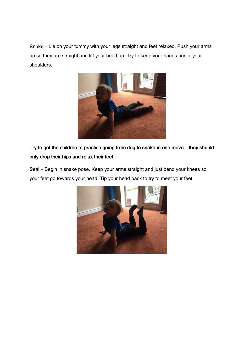Snake – Lie on your tummy with your legs straight and feet relaxed. Push your arms up so they are straight and lift your head up. Try to keep your hands under your shoulders.



Try to get the children to practise going from dog to snake in one move – they should only drop their hips and relax their feet.

Seal – Begin in snake pose. Keep your arms straight and just bend your knees so your feet go towards your head. Tip your head back to try to meet your feet.

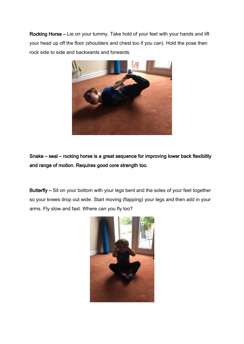Rocking Horse – Lie on your tummy. Take hold of your feet with your hands and lift your head up off the floor (shoulders and chest too if you can). Hold the pose then rock side to side and backwards and forwards.



Snake – seal – rocking horse is a great sequence for improving lower back flexibility and range of motion. Requires good core strength too.

Butterfly – Sit on your bottom with your legs bent and the soles of your feet together so your knees drop out wide. Start moving (flapping) your legs and then add in your arms. Fly slow and fast. Where can you fly too?

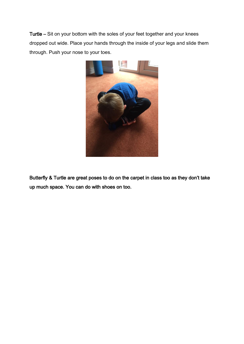Turtle – Sit on your bottom with the soles of your feet together and your knees dropped out wide. Place your hands through the inside of your legs and slide them through. Push your nose to your toes.



Butterfly & Turtle are great poses to do on the carpet in class too as they don't take up much space. You can do with shoes on too.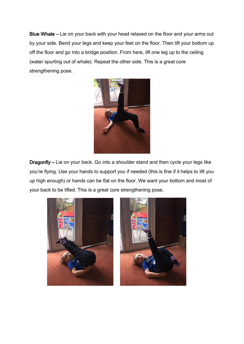Blue Whale – Lie on your back with your head relaxed on the floor and your arms out by your side. Bend your legs and keep your feet on the floor. Then lift your bottom up off the floor and go into a bridge position. From here, lift one leg up to the ceiling (water spurting out of whale). Repeat the other side. This is a great core strengthening pose.



Dragonfly – Lie on your back. Go into a shoulder stand and then cycle your legs like you're flying. Use your hands to support you if needed (this is fine if it helps to lift you up high enough) or hands can be flat on the floor. We want your bottom and most of your back to be lifted. This is a great core strengthening pose.



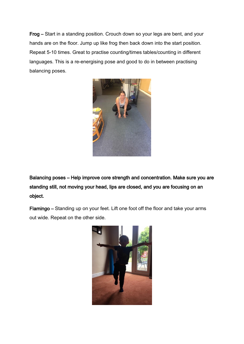Frog – Start in a standing position. Crouch down so your legs are bent, and your hands are on the floor. Jump up like frog then back down into the start position. Repeat 5-10 times. Great to practise counting/times tables/counting in different languages. This is a re-energising pose and good to do in between practising balancing poses.



Balancing poses – Help improve core strength and concentration. Make sure you are standing still, not moving your head, lips are closed, and you are focusing on an object.

Flamingo – Standing up on your feet. Lift one foot off the floor and take your arms out wide. Repeat on the other side.

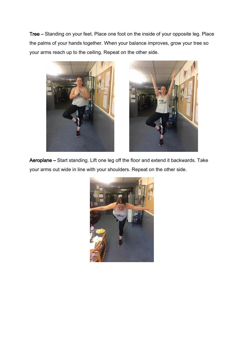Tree – Standing on your feet. Place one foot on the inside of your opposite leg. Place the palms of your hands together. When your balance improves, grow your tree so your arms reach up to the ceiling. Repeat on the other side.





Aeroplane – Start standing. Lift one leg off the floor and extend it backwards. Take your arms out wide in line with your shoulders. Repeat on the other side.

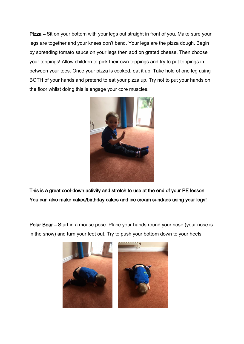Pizza – Sit on your bottom with your legs out straight in front of you. Make sure your legs are together and your knees don't bend. Your legs are the pizza dough. Begin by spreading tomato sauce on your legs then add on grated cheese. Then choose your toppings! Allow children to pick their own toppings and try to put toppings in between your toes. Once your pizza is cooked, eat it up! Take hold of one leg using BOTH of your hands and pretend to eat your pizza up. Try not to put your hands on the floor whilst doing this is engage your core muscles.



This is a great cool-down activity and stretch to use at the end of your PE lesson. You can also make cakes/birthday cakes and ice cream sundaes using your legs!

Polar Bear – Start in a mouse pose. Place your hands round your nose (your nose is in the snow) and turn your feet out. Try to push your bottom down to your heels.